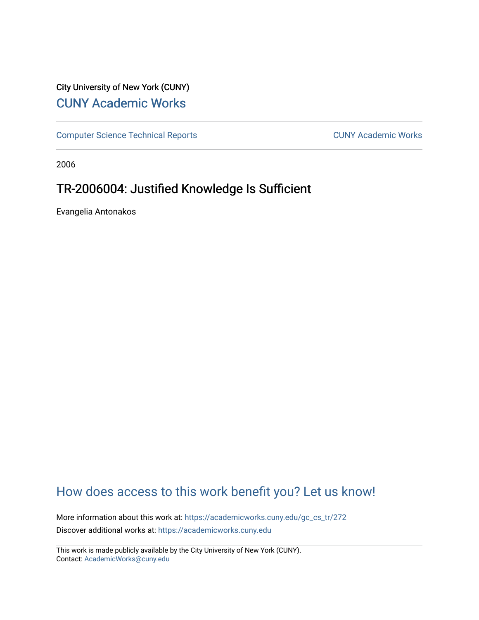# City University of New York (CUNY) [CUNY Academic Works](https://academicworks.cuny.edu/)

[Computer Science Technical Reports](https://academicworks.cuny.edu/gc_cs_tr) **CUNY Academic Works** CUNY Academic Works

2006

# TR-2006004: Justified Knowledge Is Sufficient

Evangelia Antonakos

# [How does access to this work benefit you? Let us know!](http://ols.cuny.edu/academicworks/?ref=https://academicworks.cuny.edu/gc_cs_tr/272)

More information about this work at: [https://academicworks.cuny.edu/gc\\_cs\\_tr/272](https://academicworks.cuny.edu/gc_cs_tr/272)  Discover additional works at: [https://academicworks.cuny.edu](https://academicworks.cuny.edu/?)

This work is made publicly available by the City University of New York (CUNY). Contact: [AcademicWorks@cuny.edu](mailto:AcademicWorks@cuny.edu)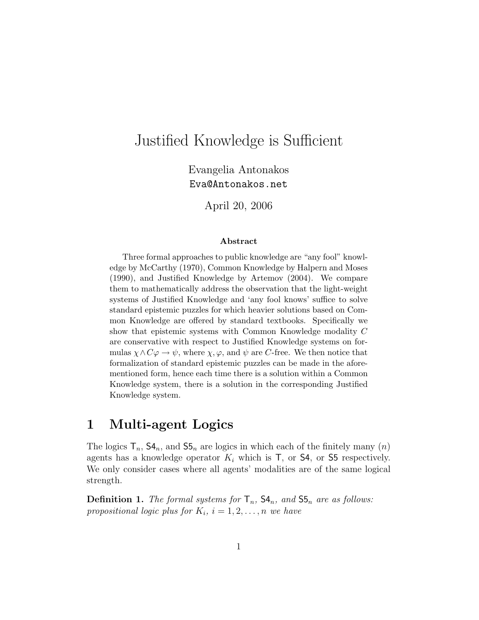# Justified Knowledge is Sufficient

Evangelia Antonakos Eva@Antonakos.net

April 20, 2006

#### Abstract

Three formal approaches to public knowledge are "any fool" knowledge by McCarthy (1970), Common Knowledge by Halpern and Moses (1990), and Justified Knowledge by Artemov (2004). We compare them to mathematically address the observation that the light-weight systems of Justified Knowledge and 'any fool knows' suffice to solve standard epistemic puzzles for which heavier solutions based on Common Knowledge are offered by standard textbooks. Specifically we show that epistemic systems with Common Knowledge modality C are conservative with respect to Justified Knowledge systems on formulas  $\chi \wedge C\varphi \to \psi$ , where  $\chi, \varphi$ , and  $\psi$  are C-free. We then notice that formalization of standard epistemic puzzles can be made in the aforementioned form, hence each time there is a solution within a Common Knowledge system, there is a solution in the corresponding Justified Knowledge system.

### 1 Multi-agent Logics

The logics  $\mathsf{T}_n$ ,  $\mathsf{S4}_n$ , and  $\mathsf{S5}_n$  are logics in which each of the finitely many  $(n)$ agents has a knowledge operator  $K_i$  which is  $\mathsf{T}$ , or **S4**, or **S5** respectively. We only consider cases where all agents' modalities are of the same logical strength.

**Definition 1.** The formal systems for  $\mathsf{T}_n$ ,  $\mathsf{S4}_n$ , and  $\mathsf{S5}_n$  are as follows: propositional logic plus for  $K_i$ ,  $i = 1, 2, \ldots, n$  we have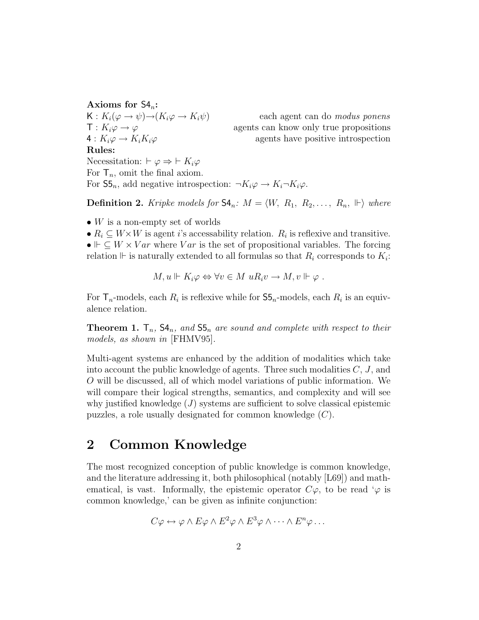### Axioms for  $S4_n$ :

 $K: K_i(\varphi \to \psi) \to (K_i\varphi \to K_i\psi)$  each agent can do modus ponens Rules: Necessitation:  $\vdash \varphi \Rightarrow \vdash K_i\varphi$ 

 $T: K_i\varphi \to \varphi$  agents can know only true propositions  $4: K_i\varphi \to K_iK_i\varphi$  agents have positive introspection

For  $\mathsf{T}_n$ , omit the final axiom. For  $\mathsf{S5}_n$ , add negative introspection:  $\neg K_i \varphi \rightarrow K_i \neg K_i \varphi$ .

**Definition 2.** Kripke models for  $\mathsf{S4}_n$ :  $M = \langle W, R_1, R_2, \ldots, R_n, \Vdash \rangle$  where

- W is a non-empty set of worlds
- $R_i \subseteq W \times W$  is agent *i*'s accessability relation.  $R_i$  is reflexive and transitive.

•  $\vdash \subseteq W \times Var$  where Var is the set of propositional variables. The forcing relation  $\mathbb{F}$  is naturally extended to all formulas so that  $R_i$  corresponds to  $K_i$ :

$$
M, u \Vdash K_i \varphi \Leftrightarrow \forall v \in M \ uR_i v \to M, v \Vdash \varphi .
$$

For  $\mathsf{T}_n$ -models, each  $R_i$  is reflexive while for  $\mathsf{S5}_n$ -models, each  $R_i$  is an equivalence relation.

**Theorem 1.**  $\mathsf{T}_n$ ,  $\mathsf{S4}_n$ , and  $\mathsf{S5}_n$  are sound and complete with respect to their models, as shown in [FHMV95].

Multi-agent systems are enhanced by the addition of modalities which take into account the public knowledge of agents. Three such modalities  $C, J$ , and O will be discussed, all of which model variations of public information. We will compare their logical strengths, semantics, and complexity and will see why justified knowledge  $(J)$  systems are sufficient to solve classical epistemic puzzles, a role usually designated for common knowledge (C).

## 2 Common Knowledge

The most recognized conception of public knowledge is common knowledge, and the literature addressing it, both philosophical (notably [L69]) and mathematical, is vast. Informally, the epistemic operator  $C\varphi$ , to be read ' $\varphi$  is common knowledge,' can be given as infinite conjunction:

$$
C\varphi \leftrightarrow \varphi \wedge E\varphi \wedge E^2\varphi \wedge E^3\varphi \wedge \cdots \wedge E^n\varphi \ldots
$$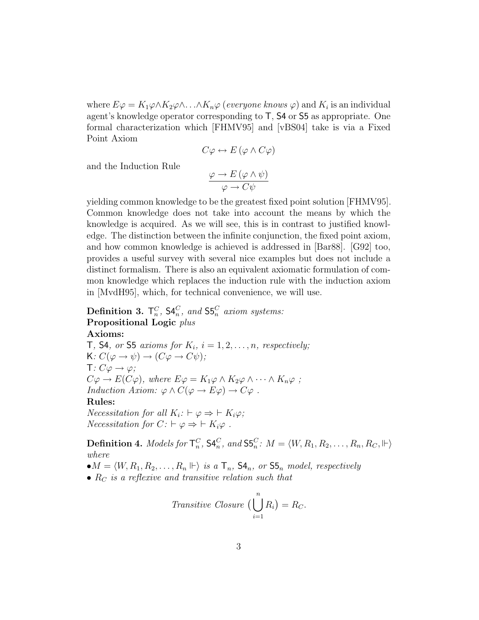where  $E\varphi = K_1\varphi \wedge K_2\varphi \wedge \ldots \wedge K_n\varphi$  (everyone knows  $\varphi$ ) and  $K_i$  is an individual agent's knowledge operator corresponding to T, S4 or S5 as appropriate. One formal characterization which [FHMV95] and [vBS04] take is via a Fixed Point Axiom

$$
C\varphi \leftrightarrow E(\varphi \wedge C\varphi)
$$

and the Induction Rule

$$
\frac{\varphi \to E(\varphi \land \psi)}{\varphi \to C\psi}
$$

yielding common knowledge to be the greatest fixed point solution [FHMV95]. Common knowledge does not take into account the means by which the knowledge is acquired. As we will see, this is in contrast to justified knowledge. The distinction between the infinite conjunction, the fixed point axiom, and how common knowledge is achieved is addressed in [Bar88]. [G92] too, provides a useful survey with several nice examples but does not include a distinct formalism. There is also an equivalent axiomatic formulation of common knowledge which replaces the induction rule with the induction axiom in [MvdH95], which, for technical convenience, we will use.

### Definition 3.  $\mathsf{T}_{n}^{C}$ ,  $\mathsf{S4}_{n}^{C}$ , and  $\mathsf{S5}_{n}^{C}$  axiom systems: Propositional Logic plus

### Axioms:

T, S4, or S5 axioms for  $K_i$ ,  $i = 1, 2, \ldots, n$ , respectively;  $K: C(\varphi \to \psi) \to (C\varphi \to C\psi);$  $T: C\varphi \rightarrow \varphi;$  $C\varphi \to E(C\varphi)$ , where  $E\varphi = K_1\varphi \wedge K_2\varphi \wedge \cdots \wedge K_n\varphi$ ; Induction Axiom:  $\varphi \wedge C(\varphi \rightarrow E\varphi) \rightarrow C\varphi$ . Rules: *Necessitation for all*  $K_i: \vdash \varphi \Rightarrow \vdash K_i \varphi;$ 

*Necessitation for*  $C: \vdash \varphi \Rightarrow \vdash K_i\varphi$ .

**Definition 4.** Models for  $\mathsf{T}^C_n$ ,  $\mathsf{S4}^C_n$ , and  $\mathsf{S5}^C_n$ :  $M = \langle W, R_1, R_2, \ldots, R_n, R_C, \Vdash \rangle$ where

 $\bullet M = \langle W, R_1, R_2, \ldots, R_n \Vdash \rangle$  is a  $\mathsf{T}_n$ ,  $\mathsf{S4}_n$ , or  $\mathsf{S5}_n$  model, respectively

•  $R_C$  is a reflexive and transitive relation such that

Transitive Closure 
$$
\Big(\bigcup_{i=1}^{n} R_i\Big) = R_C.
$$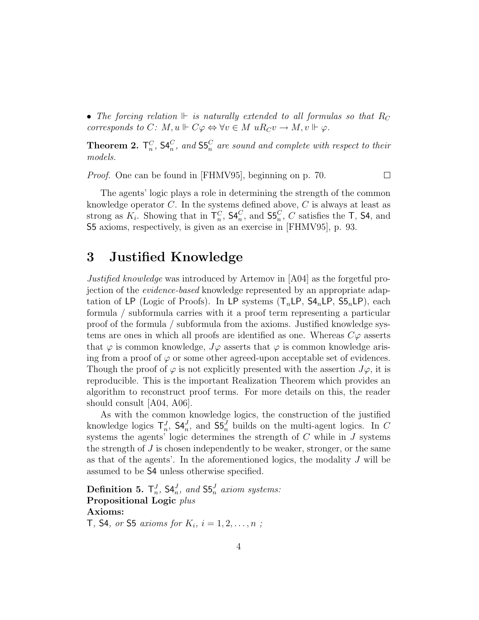• The forcing relation  $\mathbb{F}$  is naturally extended to all formulas so that  $R_C$ corresponds to C:  $M, u \Vdash C\varphi \Leftrightarrow \forall v \in M \ uR_Cv \to M, v \Vdash \varphi$ .

**Theorem 2.**  $\mathsf{T}_n^C$ ,  $\mathsf{S4}_n^C$ , and  $\mathsf{S5}_n^C$  are sound and complete with respect to their models.

Proof. One can be found in [FHMV95], beginning on p. 70.

 $\Box$ 

The agents' logic plays a role in determining the strength of the common knowledge operator  $C$ . In the systems defined above,  $C$  is always at least as strong as  $K_i$ . Showing that in  $\mathsf{T}_n^C$ ,  $\mathsf{S4}_n^C$ , and  $\mathsf{S5}_n^C$ , C satisfies the T,  $\mathsf{S4}$ , and S5 axioms, respectively, is given as an exercise in [FHMV95], p. 93.

# 3 Justified Knowledge

Justified knowledge was introduced by Artemov in [A04] as the forgetful projection of the evidence-based knowledge represented by an appropriate adaptation of LP (Logic of Proofs). In LP systems  $(T_n\mathsf{LP}, \mathsf{S4}_n\mathsf{LP}, \mathsf{S5}_n\mathsf{LP})$ , each formula / subformula carries with it a proof term representing a particular proof of the formula / subformula from the axioms. Justified knowledge systems are ones in which all proofs are identified as one. Whereas  $C\varphi$  asserts that  $\varphi$  is common knowledge,  $J\varphi$  asserts that  $\varphi$  is common knowledge arising from a proof of  $\varphi$  or some other agreed-upon acceptable set of evidences. Though the proof of  $\varphi$  is not explicitly presented with the assertion  $J\varphi$ , it is reproducible. This is the important Realization Theorem which provides an algorithm to reconstruct proof terms. For more details on this, the reader should consult [A04, A06].

As with the common knowledge logics, the construction of the justified knowledge logics  $\mathsf{T}_n^J$ ,  $\mathsf{S4}_n^J$ , and  $\mathsf{S5}_n^J$  builds on the multi-agent logics. In C systems the agents' logic determines the strength of  $C$  while in  $J$  systems the strength of  $J$  is chosen independently to be weaker, stronger, or the same as that of the agents'. In the aforementioned logics, the modality J will be assumed to be S4 unless otherwise specified.

**Definition 5.**  $\mathsf{T}_{n}^{J}$ ,  $\mathsf{S4}_{n}^{J}$ , and  $\mathsf{S5}_{n}^{J}$  axiom systems: Propositional Logic plus Axioms: **T**, **S4**, or **S5** axioms for  $K_i$ ,  $i = 1, 2, ..., n$ ;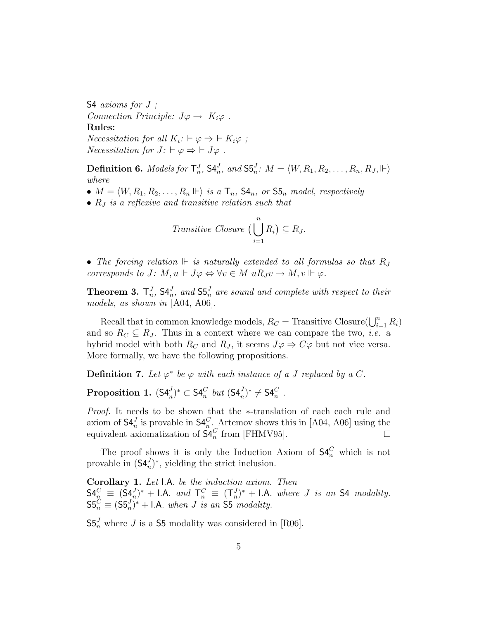S4 axioms for  $J$ ; Connection Principle:  $J\varphi \to K_i\varphi$ . Rules: *Necessitation for all*  $K_i: \vdash \varphi \Rightarrow \vdash K_i \varphi$ ; *Necessitation for*  $J: \vdash \varphi \Rightarrow \vdash J\varphi$ .

**Definition 6.** Models for  $\mathsf{T}^J_n$ ,  $\mathsf{S4}^J_n$ , and  $\mathsf{S5}^J_n$ :  $M = \langle W, R_1, R_2, \ldots, R_n, R_J, \Vdash \rangle$ where

- $M = \langle W, R_1, R_2, \ldots, R_n \Vdash \rangle$  is a  $\mathsf{T}_n$ ,  $\mathsf{S4}_n$ , or  $\mathsf{S5}_n$  model, respectively
- $R_J$  is a reflexive and transitive relation such that

Transitive Closure 
$$
\Big(\bigcup_{i=1}^n R_i\Big) \subseteq R_J
$$
.

• The forcing relation  $\mathbb{F}$  is naturally extended to all formulas so that  $R_J$ corresponds to J:  $M, u \Vdash J\varphi \Leftrightarrow \forall v \in M \ uR_J v \to M, v \Vdash \varphi$ .

**Theorem 3.**  $\mathsf{T}_n^J$ ,  $\mathsf{S4}_n^J$ , and  $\mathsf{S5}_n^J$  are sound and complete with respect to their models, as shown in [A04, A06].

Recall that in common knowledge models,  $R_C$  = Transitive Closure( $\bigcup_{i=1}^n R_i$ ) and so  $R_C \subseteq R_J$ . Thus in a context where we can compare the two, *i.e.* a hybrid model with both  $R_C$  and  $R_J$ , it seems  $J\varphi \Rightarrow C\varphi$  but not vice versa. More formally, we have the following propositions.

**Definition 7.** Let  $\varphi^*$  be  $\varphi$  with each instance of a J replaced by a C.

Proposition 1.  $(\mathsf{S4}_n^J)^* \subset \mathsf{S4}_n^C$  but  $(\mathsf{S4}_n^J)^* \neq \mathsf{S4}_n^C$  .

Proof. It needs to be shown that the ∗-translation of each each rule and axiom of  $\mathsf{S4}_n^J$  is provable in  $\mathsf{S4}_n^C$ . Artemov shows this in [A04, A06] using the equivalent axiomatization of  $\mathsf{S4}_n^C$  from [FHMV95].  $\Box$ 

The proof shows it is only the Induction Axiom of  $S4_n^C$  which is not provable in  $(\mathsf{S4}_{n}^{J})^*$ , yielding the strict inclusion.

Corollary 1. Let I.A. be the induction axiom. Then  $\mathsf{S4}_n^C \equiv (\mathsf{S4}_n^J)^* + \mathsf{I.A.}$  and  $\mathsf{T}_n^C \equiv (\mathsf{T}_n^J)^* + \mathsf{I.A.}$  where J is an  $\mathsf{S4}$  modality.  $SS_n^C \equiv (SS_n^J)^* + I.A.$  when J is an S5 modality.

 $\mathsf{S5}_n^J$  where J is a  $\mathsf{S5}$  modality was considered in [R06].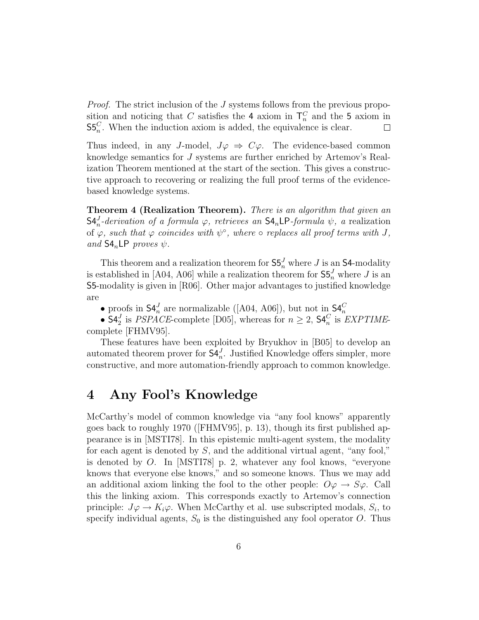*Proof.* The strict inclusion of the  $J$  systems follows from the previous proposition and noticing that C satisfies the 4 axiom in  $\mathsf{T}_n^C$  and the 5 axiom in  $\mathsf{S5}_{n}^{C}$ . When the induction axiom is added, the equivalence is clear.

Thus indeed, in any J-model,  $J\varphi \Rightarrow C\varphi$ . The evidence-based common knowledge semantics for J systems are further enriched by Artemov's Realization Theorem mentioned at the start of the section. This gives a constructive approach to recovering or realizing the full proof terms of the evidencebased knowledge systems.

Theorem 4 (Realization Theorem). There is an algorithm that given an  $\mathsf{S4}_{n}^{J}$ -derivation of a formula  $\varphi$ , retrieves an  $\mathsf{S4}_{n}\mathsf{LP}\text{-}formula \psi$ , a realization of  $\varphi$ , such that  $\varphi$  coincides with  $\psi^{\circ}$ , where  $\circ$  replaces all proof terms with J, and  $S4_nLP$  proves  $\psi$ .

This theorem and a realization theorem for  $S5_n^J$  where J is an S4-modality is established in [A04, A06] while a realization theorem for  $\mathsf{S5}^J_n$  where J is an S5-modality is given in [R06]. Other major advantages to justified knowledge are

• proofs in  $\mathsf{S4}_n^J$  are normalizable ([A04, A06]), but not in  $\mathsf{S4}_n^C$ <br>•  $\mathsf{S4}_2^J$  is *PSPACE*-complete [D05], whereas for  $n \geq 2$ ,  $\mathsf{S4}_n^C$  is *EXPTIME*complete [FHMV95].

These features have been exploited by Bryukhov in [B05] to develop an automated theorem prover for  $\mathsf{S4}_{n}^{J}$ . Justified Knowledge offers simpler, more constructive, and more automation-friendly approach to common knowledge.

## 4 Any Fool's Knowledge

McCarthy's model of common knowledge via "any fool knows" apparently goes back to roughly 1970 ([FHMV95], p. 13), though its first published appearance is in [MSTI78]. In this epistemic multi-agent system, the modality for each agent is denoted by S, and the additional virtual agent, "any fool," is denoted by O. In [MSTI78] p. 2, whatever any fool knows, "everyone knows that everyone else knows," and so someone knows. Thus we may add an additional axiom linking the fool to the other people:  $O\varphi \rightarrow S\varphi$ . Call this the linking axiom. This corresponds exactly to Artemov's connection principle:  $J\varphi \to K_i\varphi$ . When McCarthy et al. use subscripted modals,  $S_i$ , to specify individual agents,  $S_0$  is the distinguished any fool operator O. Thus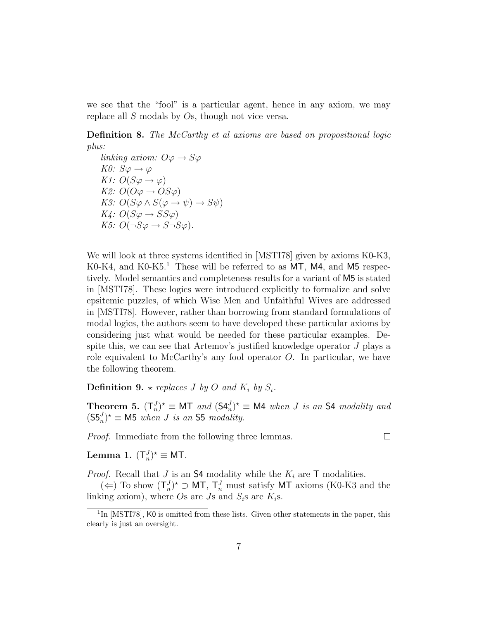we see that the "fool" is a particular agent, hence in any axiom, we may replace all S modals by Os, though not vice versa.

Definition 8. The McCarthy et al axioms are based on propositional logic plus:

linking axiom:  $O\varphi \to S\varphi$ K0:  $S\varphi \rightarrow \varphi$ K1:  $O(S\varphi \rightarrow \varphi)$ K2:  $O(O\varphi \rightarrow OS\varphi)$ K3:  $O(S\varphi \wedge S(\varphi \rightarrow \psi) \rightarrow S\psi)$  $K4: O(S\varphi \rightarrow SS\varphi)$ K5:  $O(\neg S\varphi \rightarrow S\neg S\varphi)$ .

We will look at three systems identified in [MSTI78] given by axioms K0-K3, K0-K4, and K0-K5.<sup>1</sup> These will be referred to as  $MT$ , M4, and M5 respectively. Model semantics and completeness results for a variant of M5 is stated in [MSTI78]. These logics were introduced explicitly to formalize and solve epsitemic puzzles, of which Wise Men and Unfaithful Wives are addressed in [MSTI78]. However, rather than borrowing from standard formulations of modal logics, the authors seem to have developed these particular axioms by considering just what would be needed for these particular examples. Despite this, we can see that Artemov's justified knowledge operator J plays a role equivalent to McCarthy's any fool operator  $O$ . In particular, we have the following theorem.

**Definition 9.**  $\star$  replaces J by O and  $K_i$  by  $S_i$ .

**Theorem 5.**  $(T_n^J)^* \equiv \text{MT}$  and  $(S4_n^J)^* \equiv \text{M4}$  when J is an S4 modality and  $(\mathsf{S5}_n^J)^* \equiv \mathsf{M5}$  when *J* is an **S5** modality.

 $\Box$ 

Proof. Immediate from the following three lemmas.

Lemma 1.  $(T_n^J)^* \equiv M T$ .

*Proof.* Recall that J is an S4 modality while the  $K_i$  are T modalities.

(←) To show  $(T_n^J)^*$  ⊃ MT,  $T_n^J$  must satisfy MT axioms (K0-K3 and the linking axiom), where Os are Js and  $S_i$ s are  $K_i$ s.

<sup>&</sup>lt;sup>1</sup>In [MSTI78], K0 is omitted from these lists. Given other statements in the paper, this clearly is just an oversight.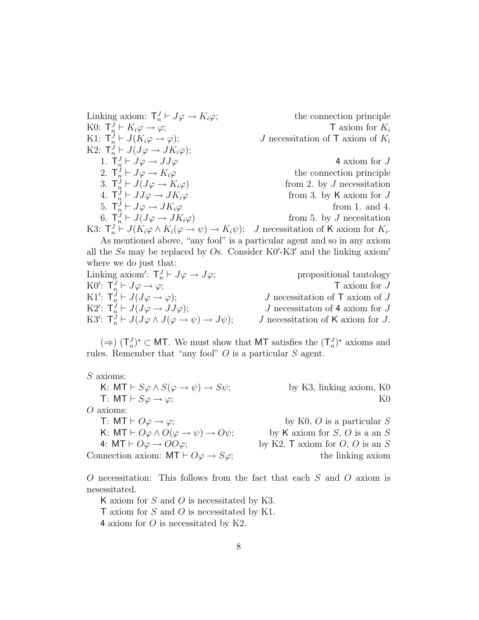Linking axiom:  $\mathsf{T}_n^J$ the connection principle K0:  $\mathsf{T}_n^J \vdash K_i \varphi \to \varphi;$   $\mathsf{T}$  axiom for  $K_i$ K1:  $\mathsf{T}_n^J$ J necessitation of  $\mathsf{T}$  axiom of  $K_i$ K2:  $\mathsf{T}_n^J \vdash J(J\varphi \to JK_i\varphi);$ 1.  $\mathsf{T}_{n}^{J} \vdash J\varphi \rightarrow JJ\varphi$  4 axiom for J 2.  $\mathsf{T}_n^J$ the connection principle 3.  $\mathsf{T}_n^J$ from 2. by  $J$  necessitation 4.  $\mathsf{T}_n^J$ from 3. by K axiom for  $J$ 5.  $\mathsf{T}_n^J \vdash J\varphi \to JK_i\varphi$  from 1. and 4. 6.  $\mathsf{T}_n^J \vdash J(J\varphi \to JK_i\varphi)$  from 5. by J necesitation K3:  $\mathsf{T}_n^J \vdash J(K_i\varphi \wedge K_i(\varphi \to \psi) \to K_i\psi); \quad J$  necessitation of K axiom for  $K_i$ .

As mentioned above, "any fool" is a particular agent and so in any axiom all the  $S$ s may be replaced by Os. Consider  $K0'$ - $K3'$  and the linking axiom' where we do just that:

Linking axiom':  $\mathsf{T}_n^J$ propositional tautology K0':  $\mathsf{T}_n^J \vdash J\varphi \to \varphi;$   $\mathsf{T}$  axiom for J K1':  $\mathsf{T}_n^J \vdash J(J\varphi \to \varphi);$  J necessitation of T axiom of J K2':  $\mathsf{T}_n^J \vdash J(J\varphi \to JJ\varphi);$  J necessitaton of 4 axiom for J K3':  $\mathsf{T}_n^J \vdash J(J\varphi \land J(\varphi \to \psi) \to J\psi); \qquad J$  necessitation of K axiom for J.

(⇒)  $(T_n^J)^*$  ⊂ MT. We must show that MT satisfies the  $(T_n^J)^*$  axioms and rules. Remember that "any fool" O is a particular S agent.

| $S$ axioms:                                                                   |                                                |
|-------------------------------------------------------------------------------|------------------------------------------------|
| K: $MT \vdash S\varphi \wedge S(\varphi \rightarrow \psi) \rightarrow S\psi;$ | by K3, linking axiom, K0                       |
| T: MT $\vdash$ S $\varphi \rightarrow \varphi$ ;                              | K0.                                            |
| $O$ axioms:                                                                   |                                                |
| T: MT $\vdash$ $O\varphi \rightarrow \varphi$ ;                               | by K0, $O$ is a particular $S$                 |
| K: $MT \vdash O\varphi \land O(\varphi \rightarrow \psi) \rightarrow O\psi$ ; | by K axiom for $S, O$ is a an $S$              |
| 4: MT $\vdash$ $O\varphi \rightarrow O O \varphi$ ;                           | by K2, $\mathsf{T}$ axiom for $O, O$ is an $S$ |
| Connection axiom: $MT \vdash O\varphi \rightarrow S\varphi$ ;                 | the linking axiom                              |
|                                                                               |                                                |

O necessitation: This follows from the fact that each S and O axiom is nesessitated.

K axiom for  $S$  and  $O$  is necessitated by K3. T axiom for S and O is necessitated by K1. 4 axiom for O is necessitated by K2.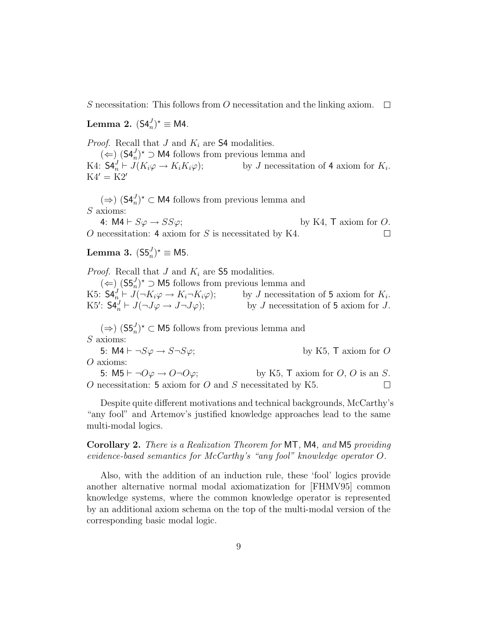S necessitation: This follows from O necessitation and the linking axiom.  $\Box$ 

Lemma 2.  $(S4_n^J)^* \equiv M4$ .

*Proof.* Recall that  $J$  and  $K_i$  are 54 modalities.

 $($   $\Leftarrow$ ) (S4<sup>J</sup><sub>n</sub>)<sup>\*</sup> ⊃ M4 follows from previous lemma and K4:  $S4_n^J \vdash J(K_i\varphi \rightarrow K_iK_i\varphi);$  $\psi_n^J \vdash J(K_i\varphi \to K_iK_i\varphi);$  by J necessitation of 4 axiom for  $K_i$ .  $K4' = K2'$ 

 $(\Rightarrow)$  (S4<sup>*J*</sup><sub>n</sub><sup>*N*</sup> ⊂ M4 follows from previous lemma and S axioms:

4:  $\mathsf{M4} \vdash S\varphi \rightarrow SS\varphi;$  by K4, T axiom for O. O necessitation: 4 axiom for  $S$  is necessitated by K4.  $\Box$ 

Lemma 3.  $(S5_n^J)^{\star} \equiv M5$ .

*Proof.* Recall that J and  $K_i$  are 55 modalities.

 $($   $\Leftarrow$ )<sub>⊥</sub> $($ S5<sup>*J*</sup><sub>n</sub> $)$ <sup>\*</sup> ⊃ M5 follows from previous lemma and K5:  $\mathsf{S4}_{n}^{J} \vdash J(\neg K_i \varphi \to K_i \neg K_i \varphi);$  by J necessitation of 5 axiom for  $K_i$ by  $J$  necessitation of 5 axiom for  $K_i$ .<br>by  $J$  necessitation of 5 axiom for  $J$ . K5':  $S4_n^J \vdash J(\neg J\varphi \to J\neg J\varphi);$  by J necessitation of 5 axiom for J.

 $(\Rightarrow)$  (S5<sup>*J*</sup>)<sup>★</sup> ⊂ M5 follows from previous lemma and S axioms:

5:  $\mathsf{M4} \vdash \neg S\varphi \rightarrow S \neg S\varphi;$  by K5, T axiom for O O axioms:

5:  $M5 \vdash \neg O\varphi \rightarrow O \neg O\varphi$ ; by K5, T axiom for O, O is an S.  $O$  necessitation: 5 axiom for  $O$  and  $S$  necessitated by K5.  $\Box$ 

Despite quite different motivations and technical backgrounds, McCarthy's "any fool" and Artemov's justified knowledge approaches lead to the same multi-modal logics.

Corollary 2. There is a Realization Theorem for MT, M4, and M5 providing evidence-based semantics for McCarthy's "any fool" knowledge operator O.

Also, with the addition of an induction rule, these 'fool' logics provide another alternative normal modal axiomatization for [FHMV95] common knowledge systems, where the common knowledge operator is represented by an additional axiom schema on the top of the multi-modal version of the corresponding basic modal logic.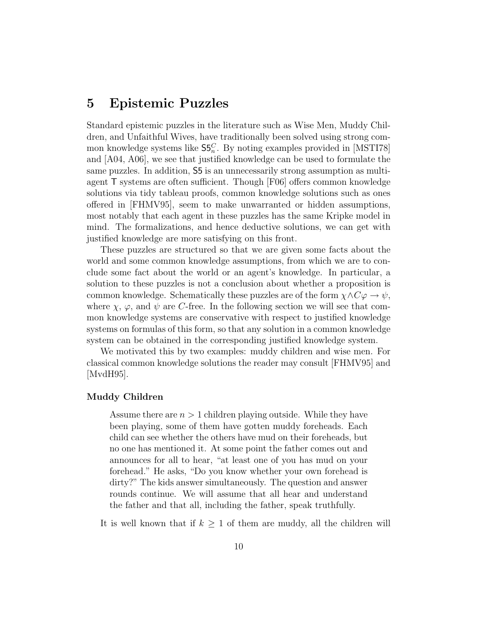### 5 Epistemic Puzzles

Standard epistemic puzzles in the literature such as Wise Men, Muddy Children, and Unfaithful Wives, have traditionally been solved using strong common knowledge systems like  $\mathsf{S5}^C_n$ . By noting examples provided in [MSTI78] and [A04, A06], we see that justified knowledge can be used to formulate the same puzzles. In addition, S5 is an unnecessarily strong assumption as multiagent T systems are often sufficient. Though [F06] offers common knowledge solutions via tidy tableau proofs, common knowledge solutions such as ones offered in [FHMV95], seem to make unwarranted or hidden assumptions, most notably that each agent in these puzzles has the same Kripke model in mind. The formalizations, and hence deductive solutions, we can get with justified knowledge are more satisfying on this front.

These puzzles are structured so that we are given some facts about the world and some common knowledge assumptions, from which we are to conclude some fact about the world or an agent's knowledge. In particular, a solution to these puzzles is not a conclusion about whether a proposition is common knowledge. Schematically these puzzles are of the form  $\chi \land C\varphi \to \psi$ , where  $\chi$ ,  $\varphi$ , and  $\psi$  are C-free. In the following section we will see that common knowledge systems are conservative with respect to justified knowledge systems on formulas of this form, so that any solution in a common knowledge system can be obtained in the corresponding justified knowledge system.

We motivated this by two examples: muddy children and wise men. For classical common knowledge solutions the reader may consult [FHMV95] and [MvdH95].

#### Muddy Children

Assume there are  $n > 1$  children playing outside. While they have been playing, some of them have gotten muddy foreheads. Each child can see whether the others have mud on their foreheads, but no one has mentioned it. At some point the father comes out and announces for all to hear, "at least one of you has mud on your forehead." He asks, "Do you know whether your own forehead is dirty?" The kids answer simultaneously. The question and answer rounds continue. We will assume that all hear and understand the father and that all, including the father, speak truthfully.

It is well known that if  $k \geq 1$  of them are muddy, all the children will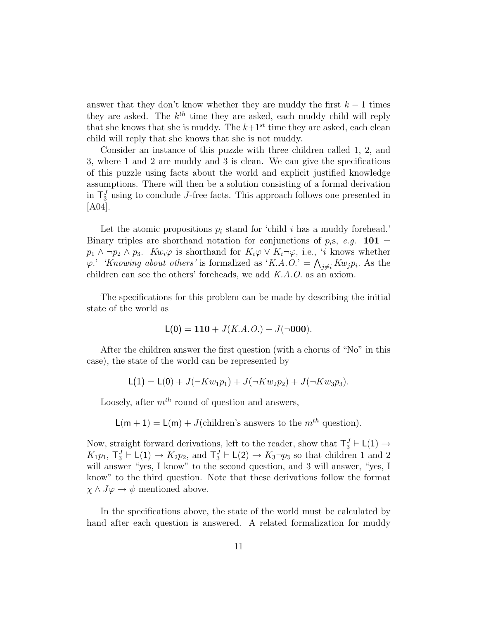answer that they don't know whether they are muddy the first  $k-1$  times they are asked. The  $k^{th}$  time they are asked, each muddy child will reply that she knows that she is muddy. The  $k+1^{st}$  time they are asked, each clean child will reply that she knows that she is not muddy.

Consider an instance of this puzzle with three children called 1, 2, and 3, where 1 and 2 are muddy and 3 is clean. We can give the specifications of this puzzle using facts about the world and explicit justified knowledge assumptions. There will then be a solution consisting of a formal derivation in  $\mathsf{T}^J_3$  using to conclude J-free facts. This approach follows one presented in [A04].

Let the atomic propositions  $p_i$  stand for 'child i has a muddy forehead.' Binary triples are shorthand notation for conjunctions of  $p_i$ s, e.g. **101** =  $p_1 \wedge \neg p_2 \wedge p_3$ .  $Kw_i\varphi$  is shorthand for  $K_i\varphi \vee K_i\neg \varphi$ , i.e., 'i knows whether  $\varphi_1 \wedge \neg p_2 \wedge p_3$ .  $Kw_i\varphi$  is shorthand for  $K_i\varphi \vee K_i \neg \varphi$ , i.e., those whether  $\varphi$ . 'Knowing about others' is formalized as 'K.A.O.' =  $\bigwedge_{j\neq i} Kw_jp_i$ . As the children can see the others' foreheads, we add K.A.O. as an axiom.

The specifications for this problem can be made by describing the initial state of the world as

$$
L(0) = 110 + J(K.A.O.) + J(\neg 000).
$$

After the children answer the first question (with a chorus of "No" in this case), the state of the world can be represented by

$$
L(1) = L(0) + J(\neg K w_1 p_1) + J(\neg K w_2 p_2) + J(\neg K w_3 p_3).
$$

Loosely, after  $m^{th}$  round of question and answers,

 $L(m + 1) = L(m) + J$ (children's answers to the  $m<sup>th</sup>$  question).

Now, straight forward derivations, left to the reader, show that  $T_3^J \vdash L(1) \rightarrow$  $K_1p_1$ ,  $\mathsf{T}_3^J \vdash \mathsf{L}(1) \to K_2p_2$ , and  $\mathsf{T}_3^J \vdash \mathsf{L}(2) \to K_3\neg p_3$  so that children 1 and 2 will answer "yes, I know" to the second question, and 3 will answer, "yes, I know" to the third question. Note that these derivations follow the format  $\chi \wedge J\varphi \to \psi$  mentioned above.

In the specifications above, the state of the world must be calculated by hand after each question is answered. A related formalization for muddy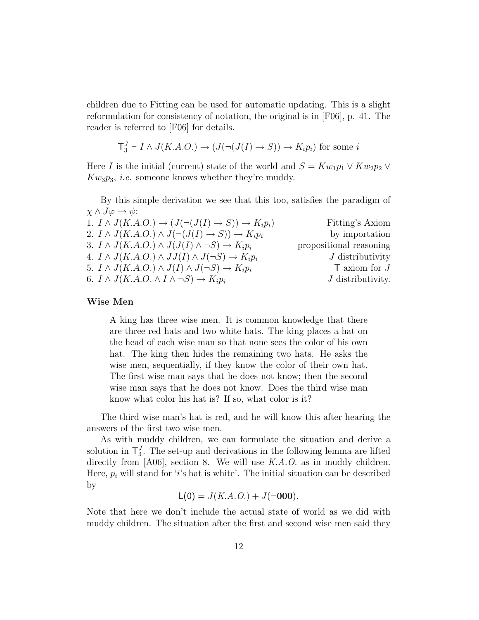children due to Fitting can be used for automatic updating. This is a slight reformulation for consistency of notation, the original is in [F06], p. 41. The reader is referred to [F06] for details.

$$
T_3^J \vdash I \land J(K.A.O.) \to (J(\neg (J(I) \to S)) \to K_i p_i)
$$
 for some *i*

Here I is the initial (current) state of the world and  $S = Kw_1p_1 \vee Kw_2p_2 \vee$  $Kw_3p_3$ , *i.e.* someone knows whether they're muddy.

By this simple derivation we see that this too, satisfies the paradigm of  $\chi \wedge J\varphi \rightarrow \psi$ :

| 1. $I \wedge J(K.A.O.) \rightarrow (J(\neg (J(I) \rightarrow S)) \rightarrow K_i p_i)$ | Fitting's Axiom            |
|----------------------------------------------------------------------------------------|----------------------------|
| 2. $I \wedge J(K.A.O.) \wedge J(\neg (J(I) \rightarrow S)) \rightarrow K_i p_i$        | by importation             |
| 3. $I \wedge J(K.A.O.) \wedge J(J(I) \wedge \neg S) \rightarrow K_i p_i$               | propositional reasoning    |
| 4. $I \wedge J(K.A.O.) \wedge JJ(I) \wedge J(\neg S) \rightarrow K_i p_i$              | $J$ distributivity         |
| 5. $I \wedge J(K.A.O.) \wedge J(I) \wedge J(\neg S) \rightarrow K_i p_i$               | $\mathsf{T}$ axiom for $J$ |
| 6. $I \wedge J(K.A.O. \wedge I \wedge \neg S) \rightarrow K_i p_i$                     | $J$ distributivity.        |

#### Wise Men

A king has three wise men. It is common knowledge that there are three red hats and two white hats. The king places a hat on the head of each wise man so that none sees the color of his own hat. The king then hides the remaining two hats. He asks the wise men, sequentially, if they know the color of their own hat. The first wise man says that he does not know; then the second wise man says that he does not know. Does the third wise man know what color his hat is? If so, what color is it?

The third wise man's hat is red, and he will know this after hearing the answers of the first two wise men.

As with muddy children, we can formulate the situation and derive a solution in  $\mathsf{T}_{3}^{J}$ . The set-up and derivations in the following lemma are lifted directly from [A06], section 8. We will use K.A.O. as in muddy children. Here,  $p_i$  will stand for 'i's hat is white'. The initial situation can be described by

$$
L(0) = J(K.A.O.) + J(\neg 000).
$$

Note that here we don't include the actual state of world as we did with muddy children. The situation after the first and second wise men said they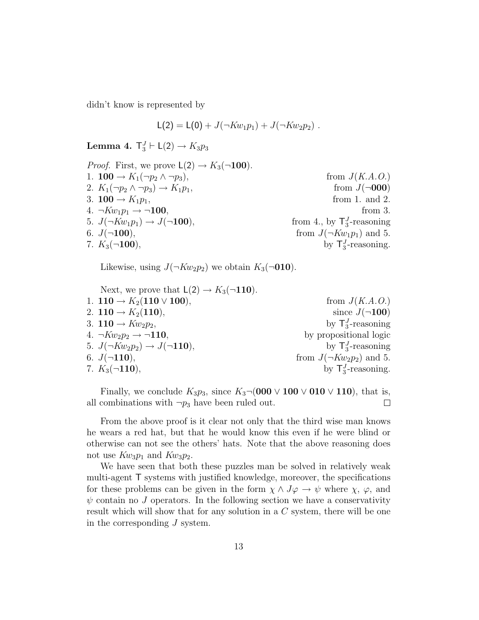didn't know is represented by

$$
L(2) = L(0) + J(\neg K w_1 p_1) + J(\neg K w_2 p_2) .
$$

Lemma 4.  $\mathsf{T}^J_3 \vdash \mathsf{L}(2) \rightarrow K_3p_3$ 

| from $J(K.A.O.)$                        |
|-----------------------------------------|
| from $J(\neg 000)$                      |
| from 1. and 2.                          |
| from $3$ .                              |
| from 4., by $\mathsf{T}_3^J$ -reasoning |
| from $J(\neg Kw_1p_1)$ and 5.           |
| by $T_3^J$ -reasoning.                  |
|                                         |

Likewise, using  $J(\neg Kw_2p_2)$  we obtain  $K_3(\neg 010)$ .

| Next, we prove that $L(2) \rightarrow K_3(\neg 110)$ . |                                |
|--------------------------------------------------------|--------------------------------|
| 1. $110 \rightarrow K_2(110 \vee 100)$ ,               | from $J(K.A.O.)$               |
| 2. $110 \rightarrow K_2(110)$ ,                        | since $J(\neg 100)$            |
| 3. $110 \rightarrow Kw_2p_2$ ,                         | by $\mathsf{T}_3^J$ -reasoning |
| 4. $\neg Kw_2p_2 \rightarrow \neg 110$ ,               | by propositional logic         |
| 5. $J(\neg Kw_2p_2) \rightarrow J(\neg 110)$ ,         | by $\mathsf{T}_3^J$ -reasoning |
| 6. $J(\neg 110)$ ,                                     | from $J(\neg Kw_2p_2)$ and 5.  |
| 7. $K_3(\neg 110)$ ,                                   | by $T_3^J$ -reasoning.         |
|                                                        |                                |

Finally, we conclude  $K_3p_3$ , since  $K_3\neg(000 \vee 100 \vee 010 \vee 110)$ , that is, all combinations with  $\neg p_3$  have been ruled out.  $\Box$ 

From the above proof is it clear not only that the third wise man knows he wears a red hat, but that he would know this even if he were blind or otherwise can not see the others' hats. Note that the above reasoning does not use  $Kw_3p_1$  and  $Kw_3p_2$ .

We have seen that both these puzzles man be solved in relatively weak multi-agent T systems with justified knowledge, moreover, the specifications for these problems can be given in the form  $\chi \wedge J\varphi \to \psi$  where  $\chi$ ,  $\varphi$ , and  $\psi$  contain no J operators. In the following section we have a conservativity result which will show that for any solution in a C system, there will be one in the corresponding J system.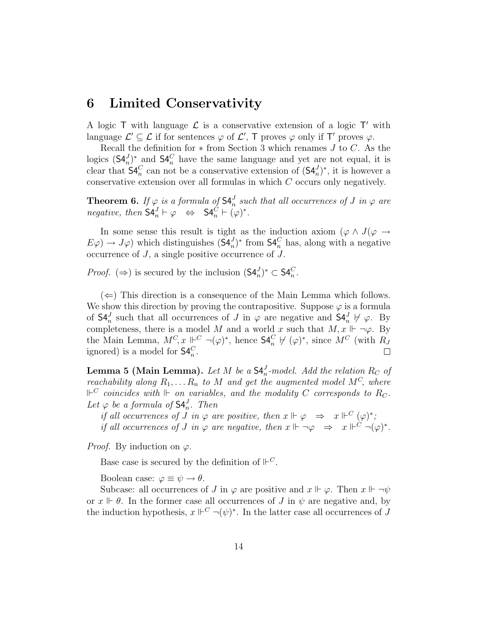### 6 Limited Conservativity

A logic  $\mathsf T$  with language  $\mathcal L$  is a conservative extension of a logic  $\mathsf T'$  with language  $\mathcal{L}' \subseteq \mathcal{L}$  if for sentences  $\varphi$  of  $\mathcal{L}', \top$  proves  $\varphi$  only if  $\top'$  proves  $\varphi$ .

Recall the definition for  $*$  from Section 3 which renames  $J$  to  $C$ . As the logics  $(\mathsf{S4}_{n}^{J})^*$  and  $\mathsf{S4}_{n}^{C}$  have the same language and yet are not equal, it is clear that  $\mathsf{S4}_{n}^{C}$  can not be a conservative extension of  $(\mathsf{S4}_{n}^{J})^*$ , it is however a conservative extension over all formulas in which C occurs only negatively.

**Theorem 6.** If  $\varphi$  is a formula of  $S4_n^J$  such that all occurrences of J in  $\varphi$  are negative, then  $\mathsf{S4}_n^J \vdash \varphi \Leftrightarrow \mathsf{S4}_n^C \vdash (\varphi)^*$ .

In some sense this result is tight as the induction axiom ( $\varphi \wedge J(\varphi \rightarrow$  $E\varphi$   $\to J\varphi$ ) which distinguishes  $(\mathsf{S4}_{n}^{J})^*$  from  $\mathsf{S4}_{n}^{C}$  has, along with a negative occurrence of J, a single positive occurrence of J.

*Proof.* ( $\Rightarrow$ ) is secured by the inclusion  $(\mathsf{S4}_{n}^{J})^* \subset \mathsf{S4}_{n}^{C}$ .

 $(\Leftarrow)$  This direction is a consequence of the Main Lemma which follows. We show this direction by proving the contrapositive. Suppose  $\varphi$  is a formula of  $\mathsf{S4}_n^J$  such that all occurrences of J in  $\varphi$  are negative and  $\mathsf{S4}_n^J \not\vdash \varphi$ . By completeness, there is a model M and a world x such that  $M, x \Vdash \neg \varphi$ . By the Main Lemma,  $M^C$ ,  $x \Vdash^C \neg(\varphi)^*$ , hence  $\mathsf{S4}^C_n \not\vdash (\varphi)^*$ , since  $M^C$  (with  $R_J$ ignored) is a model for  $\mathsf{S4}_{n}^{C}$ .  $\Box$ 

**Lemma 5 (Main Lemma).** Let M be a  $\mathsf{S4}_n^J$ -model. Add the relation  $R_C$  of reachability along  $R_1, \ldots R_n$  to M and get the augmented model  $M^C$ , where  $\mathbb{P}^C$  coincides with  $\mathbb{P}$  on variables, and the modality C corresponds to  $R_C.$ Let  $\varphi$  be a formula of  $\mathsf{S4}_n^J$ . Then

if all occurrences of J in  $\varphi$  are positive, then  $x \Vdash \varphi \Rightarrow x \Vdash^C (\varphi)^*$ ; if all occurrences of J in  $\varphi$  are negative, then  $x \Vdash \neg \varphi \Rightarrow x \Vdash^C \neg (\varphi)^*$ .

*Proof.* By induction on  $\varphi$ .

Base case is secured by the definition of  $\mathbb{P}^C$ .

Boolean case:  $\varphi \equiv \psi \rightarrow \theta$ .

Subcase: all occurrences of J in  $\varphi$  are positive and  $x \Vdash \varphi$ . Then  $x \Vdash \neg \psi$ or  $x \Vdash \theta$ . In the former case all occurrences of J in  $\psi$  are negative and, by the induction hypothesis,  $x \Vdash^C \neg(\psi)^*$ . In the latter case all occurrences of J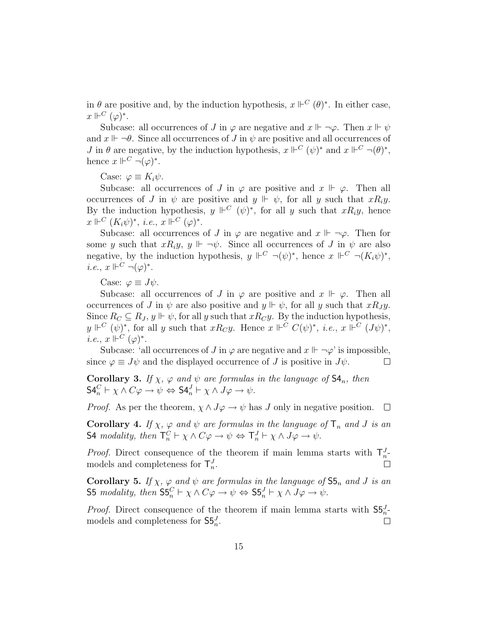in  $\theta$  are positive and, by the induction hypothesis,  $x \Vdash^C (\theta)^*$ . In either case,  $x\Vdash^C(\varphi)^*.$ 

Subcase: all occurrences of J in  $\varphi$  are negative and  $x \Vdash \neg \varphi$ . Then  $x \Vdash \psi$ and  $x \Vdash \neg \theta$ . Since all occurrences of J in  $\psi$  are positive and all occurrences of *J* in  $\theta$  are negative, by the induction hypothesis,  $x \Vdash^C (\psi)^*$  and  $x \Vdash^C \neg (\theta)^*$ , hence  $x \Vdash^C \neg (\varphi)^*$ .

Case:  $\varphi \equiv K_i \psi$ .

Subcase: all occurrences of J in  $\varphi$  are positive and  $x \Vdash \varphi$ . Then all occurrences of J in  $\psi$  are positive and  $y \Vdash \psi$ , for all y such that  $xR_iy$ . By the induction hypothesis,  $y \Vdash^C (\psi)^*$ , for all y such that  $xR_iy$ , hence  $x \Vdash^C (K_i \psi)^*, \ i.e., \ x \Vdash^C (\varphi)^*.$ 

Subcase: all occurrences of J in  $\varphi$  are negative and  $x \Vdash \neg \varphi$ . Then for some y such that  $xR_iy$ ,  $y \Vdash \neg \psi$ . Since all occurrences of J in  $\psi$  are also negative, by the induction hypothesis,  $y \Vdash^C \neg(\psi)^*$ , hence  $x \Vdash^C \neg(K_i\psi)^*$ , *i.e.*,  $x \Vdash^C \neg (\varphi)^*$ .

Case:  $\varphi \equiv J\psi$ .

Subcase: all occurrences of J in  $\varphi$  are positive and  $x \Vdash \varphi$ . Then all occurrences of J in  $\psi$  are also positive and  $y \Vdash \psi$ , for all y such that  $xR_J y$ . Since  $R_C \subseteq R_J$ ,  $y \Vdash \psi$ , for all y such that  $xR_Cy$ . By the induction hypothesis,  $y \Vdash^C (\psi)^*$ , for all y such that  $xR_Cy$ . Hence  $x \Vdash^C C(\psi)^*$ , *i.e.*,  $x \Vdash^C (J\psi)^*$ , *i.e.*,  $x \Vdash^C (\varphi)^*$ .

Subcase: 'all occurrences of J in  $\varphi$  are negative and  $x \Vdash \neg \varphi$ ' is impossible, since  $\varphi \equiv J\psi$  and the displayed occurrence of J is positive in  $J\psi$ .  $\Box$ 

Corollary 3. If  $\chi$ ,  $\varphi$  and  $\psi$  are formulas in the language of  $\mathsf{S4}_n$ , then  $\mathsf{S4}_n^C \vdash \chi \wedge C\varphi \rightarrow \psi \Leftrightarrow \mathsf{S4}_n^J \vdash \chi \wedge J\varphi \rightarrow \psi.$ 

*Proof.* As per the theorem,  $\chi \wedge J\varphi \rightarrow \psi$  has J only in negative position.  $\Box$ 

**Corollary 4.** If  $\chi$ ,  $\varphi$  and  $\psi$  are formulas in the language of  $\mathsf{T}_n$  and J is an S4 modality, then  $\mathsf{T}_n^C \vdash \chi \wedge C\varphi \to \psi \Leftrightarrow \mathsf{T}_n^J \vdash \chi \wedge J\varphi \to \psi$ .

*Proof.* Direct consequence of the theorem if main lemma starts with  $T_n^J$ models and completeness for  $\mathsf{T}_n^J$ .  $\Box$ 

**Corollary 5.** If  $\chi$ ,  $\varphi$  and  $\psi$  are formulas in the language of  $\mathsf{S5}_n$  and J is an S5 modality, then  $\mathsf{S5}^C_n \vdash \chi \wedge C\varphi \rightarrow \psi \Leftrightarrow \mathsf{S5}^J_n \vdash \chi \wedge J\varphi \rightarrow \psi$ .

*Proof.* Direct consequence of the theorem if main lemma starts with  $S5_n^J$ models and completeness for  $S5_n^J$ .  $\Box$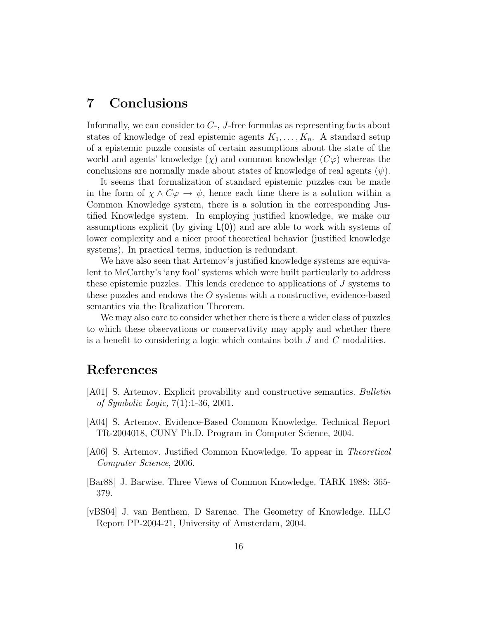## 7 Conclusions

Informally, we can consider to C-, J-free formulas as representing facts about states of knowledge of real epistemic agents  $K_1, \ldots, K_n$ . A standard setup of a epistemic puzzle consists of certain assumptions about the state of the world and agents' knowledge  $(\chi)$  and common knowledge  $(C\varphi)$  whereas the conclusions are normally made about states of knowledge of real agents  $(\psi)$ .

It seems that formalization of standard epistemic puzzles can be made in the form of  $\chi \wedge C\varphi \to \psi$ , hence each time there is a solution within a Common Knowledge system, there is a solution in the corresponding Justified Knowledge system. In employing justified knowledge, we make our assumptions explicit (by giving  $L(0)$ ) and are able to work with systems of lower complexity and a nicer proof theoretical behavior (justified knowledge systems). In practical terms, induction is redundant.

We have also seen that Artemov's justified knowledge systems are equivalent to McCarthy's 'any fool' systems which were built particularly to address these epistemic puzzles. This lends credence to applications of J systems to these puzzles and endows the O systems with a constructive, evidence-based semantics via the Realization Theorem.

We may also care to consider whether there is there a wider class of puzzles to which these observations or conservativity may apply and whether there is a benefit to considering a logic which contains both  $J$  and  $C$  modalities.

### References

- [A01] S. Artemov. Explicit provability and constructive semantics. Bulletin of Symbolic Logic, 7(1):1-36, 2001.
- [A04] S. Artemov. Evidence-Based Common Knowledge. Technical Report TR-2004018, CUNY Ph.D. Program in Computer Science, 2004.
- [A06] S. Artemov. Justified Common Knowledge. To appear in Theoretical Computer Science, 2006.
- [Bar88] J. Barwise. Three Views of Common Knowledge. TARK 1988: 365- 379.
- [vBS04] J. van Benthem, D Sarenac. The Geometry of Knowledge. ILLC Report PP-2004-21, University of Amsterdam, 2004.